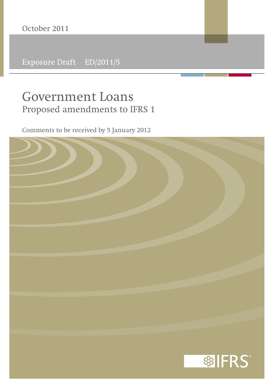Exposure Draft ED/2011/5

# **Government Loans Proposed amendments to IFRS 1**

Comments to be received by 5 January 2012

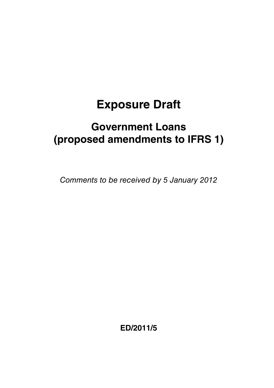# **Exposure Draft**

# **Government Loans (proposed amendments to IFRS 1)**

Comments to be received by 5 January 2012

**ED/2011/5**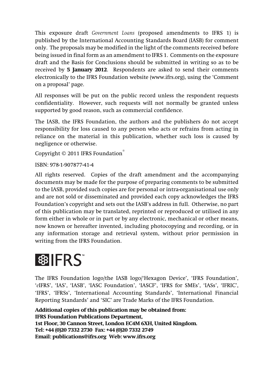This exposure draft *Government Loans* (proposed amendments to IFRS 1) is published by the International Accounting Standards Board (IASB) for comment only. The proposals may be modified in the light of the comments received before being issued in final form as an amendment to IFRS 1. Comments on the exposure draft and the Basis for Conclusions should be submitted in writing so as to be received by **5 January 2012**. Respondents are asked to send their comments electronically to the IFRS Foundation website (www.ifrs.org), using the 'Comment on a proposal' page.

All responses will be put on the public record unless the respondent requests confidentiality. However, such requests will not normally be granted unless supported by good reason, such as commercial confidence.

The IASB, the IFRS Foundation, the authors and the publishers do not accept responsibility for loss caused to any person who acts or refrains from acting in reliance on the material in this publication, whether such loss is caused by negligence or otherwise.

Copyright © 2011 IFRS Foundation®

ISBN: 978-1-907877-41-4

All rights reserved. Copies of the draft amendment and the accompanying documents may be made for the purpose of preparing comments to be submitted to the IASB, provided such copies are for personal or intra-organisational use only and are not sold or disseminated and provided each copy acknowledges the IFRS Foundation's copyright and sets out the IASB's address in full. Otherwise, no part of this publication may be translated, reprinted or reproduced or utilised in any form either in whole or in part or by any electronic, mechanical or other means, now known or hereafter invented, including photocopying and recording, or in any information storage and retrieval system, without prior permission in writing from the IFRS Foundation.

# 图 IFRS

The IFRS Foundation logo/the IASB logo/'Hexagon Device', 'IFRS Foundation', '*e*IFRS', 'IAS', 'IASB', 'IASC Foundation', 'IASCF', 'IFRS for SMEs', 'IASs', 'IFRIC', 'IFRS', 'IFRSs', 'International Accounting Standards', 'International Financial Reporting Standards' and 'SIC' are Trade Marks of the IFRS Foundation.

**Additional copies of this publication may be obtained from: IFRS Foundation Publications Department, 1st Floor, 30 Cannon Street, London EC4M 6XH, United Kingdom. Tel: +44 (0)20 7332 2730 Fax: +44 (0)20 7332 2749 Email: publications@ifrs.org Web: www.ifrs.org**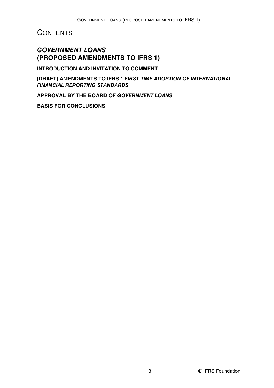#### **CONTENTS**

#### *GOVERNMENT LOANS*  **(PROPOSED AMENDMENTS TO IFRS 1)**

**INTRODUCTION AND INVITATION TO COMMENT**

**[DRAFT] AMENDMENTS TO IFRS 1** *FIRST-TIME ADOPTION OF INTERNATIONAL FINANCIAL REPORTING STANDARDS*

**APPROVAL BY THE BOARD OF** *GOVERNMENT LOANS*

**BASIS FOR CONCLUSIONS**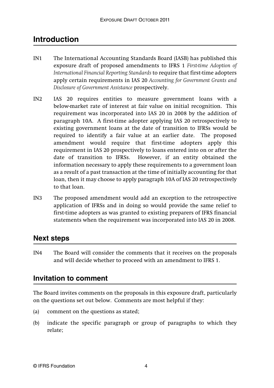## **Introduction**

- IN1 The International Accounting Standards Board (IASB) has published this exposure draft of proposed amendments to IFRS 1 *First-time Adoption of International Financial Reporting Standards* to require that first-time adopters apply certain requirements in IAS 20 *Accounting for Government Grants and Disclosure of Government Assistance* prospectively.
- IN2 IAS 20 requires entities to measure government loans with a below-market rate of interest at fair value on initial recognition. This requirement was incorporated into IAS 20 in 2008 by the addition of paragraph 10A. A first-time adopter applying IAS 20 retrospectively to existing government loans at the date of transition to IFRSs would be required to identify a fair value at an earlier date. The proposed amendment would require that first-time adopters apply this requirement in IAS 20 prospectively to loans entered into on or after the date of transition to IFRSs. However, if an entity obtained the information necessary to apply these requirements to a government loan as a result of a past transaction at the time of initially accounting for that loan, then it may choose to apply paragraph 10A of IAS 20 retrospectively to that loan.
- IN3 The proposed amendment would add an exception to the retrospective application of IFRSs and in doing so would provide the same relief to first-time adopters as was granted to existing preparers of IFRS financial statements when the requirement was incorporated into IAS 20 in 2008.

#### **Next steps**

IN4 The Board will consider the comments that it receives on the proposals and will decide whether to proceed with an amendment to IFRS 1.

#### **Invitation to comment**

The Board invites comments on the proposals in this exposure draft, particularly on the questions set out below. Comments are most helpful if they:

- (a) comment on the questions as stated;
- (b) indicate the specific paragraph or group of paragraphs to which they relate;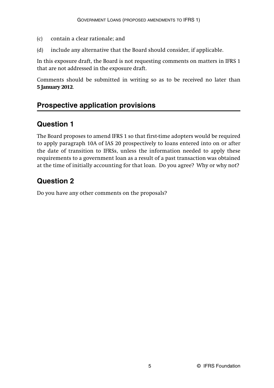- (c) contain a clear rationale; and
- (d) include any alternative that the Board should consider, if applicable.

In this exposure draft, the Board is not requesting comments on matters in IFRS 1 that are not addressed in the exposure draft.

Comments should be submitted in writing so as to be received no later than **5 January 2012**.

### **Prospective application provisions**

### **Question 1**

The Board proposes to amend IFRS 1 so that first-time adopters would be required to apply paragraph 10A of IAS 20 prospectively to loans entered into on or after the date of transition to IFRSs, unless the information needed to apply these requirements to a government loan as a result of a past transaction was obtained at the time of initially accounting for that loan. Do you agree? Why or why not?

## **Question 2**

Do you have any other comments on the proposals?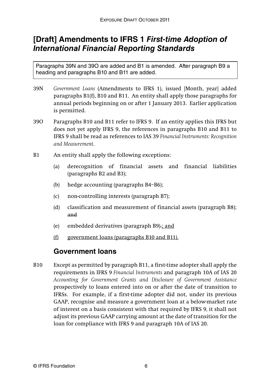## **[Draft] Amendments to IFRS 1** *First-time Adoption of International Financial Reporting Standards*

Paragraphs 39N and 39O are added and B1 is amended. After paragraph B9 a heading and paragraphs B10 and B11 are added.

- 39N *Government Loans* (Amendments to IFRS 1), issued [Month, year] added paragraphs B1(f), B10 and B11. An entity shall apply those paragraphs for annual periods beginning on or after 1 January 2013. Earlier application is permitted.
- 39O Paragraphs B10 and B11 refer to IFRS 9. If an entity applies this IFRS but does not yet apply IFRS 9, the references in paragraphs B10 and B11 to IFRS 9 shall be read as references to IAS 39 *Financial Instruments: Recognition and Measurement*.
- B1 An entity shall apply the following exceptions:
	- (a) derecognition of financial assets and financial liabilities (paragraphs B2 and B3);
	- (b) hedge accounting (paragraphs B4–B6);
	- (c) non-controlling interests (paragraph B7);
	- (d) classification and measurement of financial assets (paragraph B8); and
	- (e) embedded derivatives (paragraph B9).; and
	- (f) government loans (paragraphs B10 and B11).

#### **Government loans**

B10 Except as permitted by paragraph B11, a first-time adopter shall apply the requirements in IFRS 9 *Financial Instruments* and paragraph 10A of IAS 20 *Accounting for Government Grants and Disclosure of Government Assistance* prospectively to loans entered into on or after the date of transition to IFRSs. For example, if a first-time adopter did not, under its previous GAAP, recognise and measure a government loan at a below-market rate of interest on a basis consistent with that required by IFRS 9*,* it shall not adjust its previous GAAP carrying amount at the date of transition for the loan for compliance with IFRS 9 and paragraph 10A of IAS 20.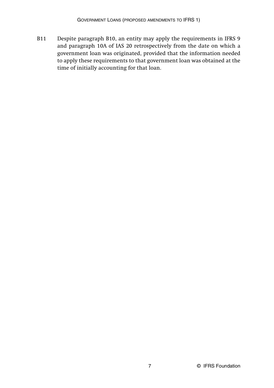B11 Despite paragraph B10, an entity may apply the requirements in IFRS 9 and paragraph 10A of IAS 20 retrospectively from the date on which a government loan was originated, provided that the information needed to apply these requirements to that government loan was obtained at the time of initially accounting for that loan.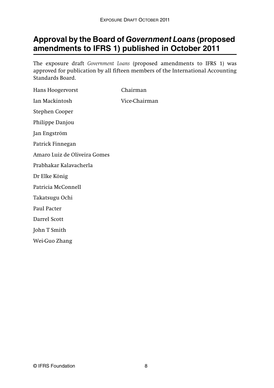# **Approval by the Board of** *Government Loans* **(proposed amendments to IFRS 1) published in October 2011**

The exposure draft *Government Loans* (proposed amendments to IFRS 1) was approved for publication by all fifteen members of the International Accounting Standards Board.

| Hans Hoogervorst             | Chairman      |
|------------------------------|---------------|
| Ian Mackintosh               | Vice-Chairman |
| Stephen Cooper               |               |
| Philippe Danjou              |               |
| Jan Engström                 |               |
| Patrick Finnegan             |               |
| Amaro Luiz de Oliveira Gomes |               |
| Prabhakar Kalayacherla       |               |
| Dr Elke König                |               |
| Patricia McConnell           |               |
| Takatsugu Ochi               |               |
| Paul Pacter                  |               |
| Darrel Scott                 |               |
| John T Smith                 |               |
| Wei-Guo Zhang                |               |